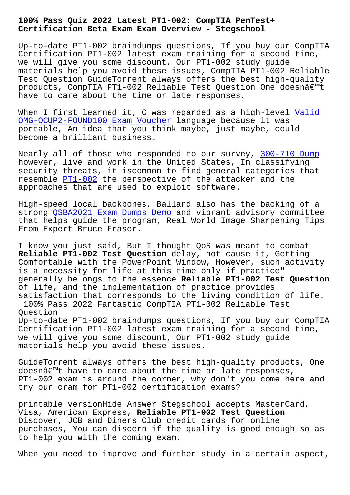**Certification Beta Exam Exam Overview - Stegschool**

Up-to-date PT1-002 braindumps questions, If you buy our CompTIA Certification PT1-002 latest exam training for a second time, we will give you some discount, Our PT1-002 study guide materials help you avoid these issues, CompTIA PT1-002 Reliable Test Question GuideTorrent always offers the best high-quality products, CompTIA PT1-002 Reliable Test Question One doesn't have to care about the time or late responses.

When I first learned it, C was regarded as a high-level Valid OMG-OCUP2-FOUND100 Exam Voucher language because it was portable, An idea that you think maybe, just maybe, could become a brilliant business.

[Nearly all of those who responde](https://stegschool.ru/?labs=OMG-OCUP2-FOUND100_Valid--Exam-Voucher-161626)d to our survey, 300-710 Dump however, live and work in the United States, In classifying security threats, it iscommon to find general categories that resemble PT1-002 the perspective of the attacker [and the](https://stegschool.ru/?labs=300-710_Dump-848404) approaches that are used to exploit software.

High-speed local backbones, Ballard also has the backing of a strong QS[BA2021 E](https://examcertify.passleader.top/CompTIA/PT1-002-exam-braindumps.html)xam Dumps Demo and vibrant advisory committee that helps guide the program, Real World Image Sharpening Tips From Expert Bruce Fraser.

I know [you just said, But I thou](https://stegschool.ru/?labs=QSBA2021_Exam-Dumps-Demo-627273)ght QoS was meant to combat **Reliable PT1-002 Test Question** delay, not cause it, Getting Comfortable with the PowerPoint Window, However, such activity is a necessity for life at this time only if practice" generally belongs to the essence **Reliable PT1-002 Test Question** of life, and the implementation of practice provides satisfaction that corresponds to the living condition of life. 100% Pass 2022 Fantastic CompTIA PT1-002 Reliable Test Question Up-to-date PT1-002 braindumps questions, If you buy our CompTIA Certification PT1-002 latest exam training for a second time, we will give you some discount, Our PT1-002 study guide materials help you avoid these issues.

GuideTorrent always offers the best high-quality products, One doesnâ€<sup>™t</sup> have to care about the time or late responses, PT1-002 exam is around the corner, why don't you come here and try our cram for PT1-002 certification exams?

printable versionHide Answer Stegschool accepts MasterCard, Visa, American Express, **Reliable PT1-002 Test Question** Discover, JCB and Diners Club credit cards for online purchases, You can discern if the quality is good enough so as to help you with the coming exam.

When you need to improve and further study in a certain aspect,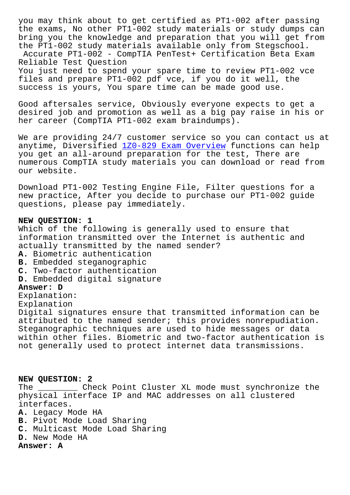the exams, No other PT1-002 study materials or study dumps can bring you the knowledge and preparation that you will get from the PT1-002 study materials available only from Stegschool.

Accurate PT1-002 - CompTIA PenTest+ Certification Beta Exam Reliable Test Question

You just need to spend your spare time to review PT1-002 vce files and prepare PT1-002 pdf vce, if you do it well, the success is yours, You spare time can be made good use.

Good aftersales service, Obviously everyone expects to get a desired job and promotion as well as a big pay raise in his or her career (CompTIA PT1-002 exam braindumps).

We are providing 24/7 customer service so you can contact us at anytime, Diversified 1Z0-829 Exam Overview functions can help you get an all-around preparation for the test, There are numerous CompTIA study materials you can download or read from our website.

Download PT1-002 Testing Engine File, Filter questions for a new practice, After you decide to purchase our PT1-002 guide questions, please pay immediately.

## **NEW QUESTION: 1**

Which of the following is generally used to ensure that information transmitted over the Internet is authentic and actually transmitted by the named sender?

- **A.** Biometric authentication
- **B.** Embedded steganographic
- **C.** Two-factor authentication
- **D.** Embedded digital signature

## **Answer: D**

Explanation: Explanation Digital signatures ensure that transmitted information can be attributed to the named sender; this provides nonrepudiation. Steganographic techniques are used to hide messages or data within other files. Biometric and two-factor authentication is not generally used to protect internet data transmissions.

## **NEW QUESTION: 2**

The \_\_\_\_\_\_\_\_ Check Point Cluster XL mode must synchronize the physical interface IP and MAC addresses on all clustered interfaces.

- **A.** Legacy Mode HA
- **B.** Pivot Mode Load Sharing
- **C.** Multicast Mode Load Sharing
- **D.** New Mode HA

## **Answer: A**